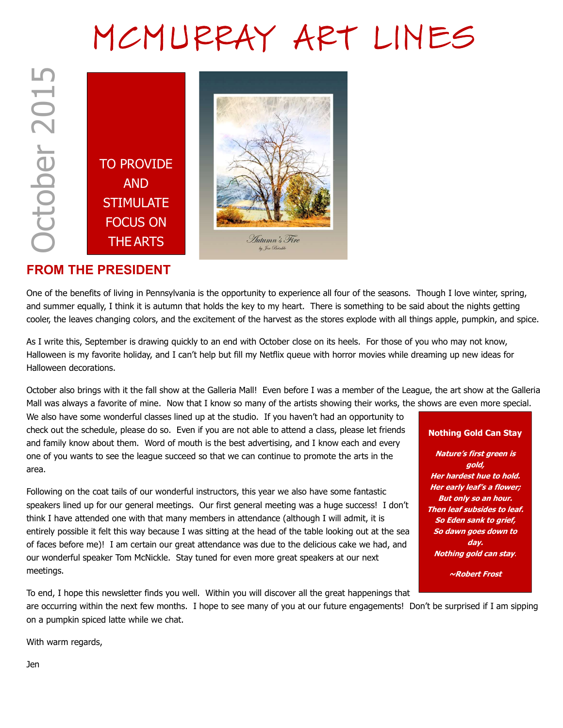# MCMURRAY ART LINES





## FROM THE PRESIDENT

One of the benefits of living in Pennsylvania is the opportunity to experience all four of the seasons. Though I love winter, spring, and summer equally, I think it is autumn that holds the key to my heart. There is something to be said about the nights getting cooler, the leaves changing colors, and the excitement of the harvest as the stores explode with all things apple, pumpkin, and spice.

As I write this, September is drawing quickly to an end with October close on its heels. For those of you who may not know, Halloween is my favorite holiday, and I can't help but fill my Netflix queue with horror movies while dreaming up new ideas for Halloween decorations.

October also brings with it the fall show at the Galleria Mall! Even before I was a member of the League, the art show at the Galleria Mall was always a favorite of mine. Now that I know so many of the artists showing their works, the shows are even more special.

We also have some wonderful classes lined up at the studio. If you haven't had an opportunity to check out the schedule, please do so. Even if you are not able to attend a class, please let friends and family know about them. Word of mouth is the best advertising, and I know each and every one of you wants to see the league succeed so that we can continue to promote the arts in the area.

Following on the coat tails of our wonderful instructors, this year we also have some fantastic speakers lined up for our general meetings. Our first general meeting was a huge success! I don't think I have attended one with that many members in attendance (although I will admit, it is entirely possible it felt this way because I was sitting at the head of the table looking out at the sea of faces before me)! I am certain our great attendance was due to the delicious cake we had, and our wonderful speaker Tom McNickle. Stay tuned for even more great speakers at our next meetings.

#### Nothing Gold Can Stay

Nature's first green is gold, Her hardest hue to hold. Her early leaf's a flower; But only so an hour. Then leaf subsides to leaf. So Eden sank to grief, So dawn goes down to day. Nothing gold can stay.

~Robert Frost

To end, I hope this newsletter finds you well. Within you will discover all the great happenings that are occurring within the next few months. I hope to see many of you at our future engagements! Don't be surprised if I am sipping on a pumpkin spiced latte while we chat.

With warm regards,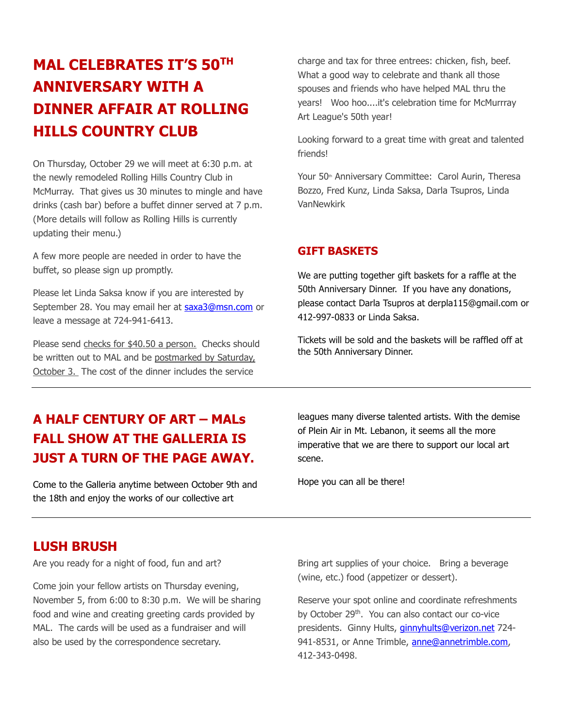# MAL CELEBRATES IT'S 50TH ANNIVERSARY WITH A DINNER AFFAIR AT ROLLING HILLS COUNTRY CLUB

On Thursday, October 29 we will meet at 6:30 p.m. at the newly remodeled Rolling Hills Country Club in McMurray. That gives us 30 minutes to mingle and have drinks (cash bar) before a buffet dinner served at 7 p.m. (More details will follow as Rolling Hills is currently updating their menu.)

A few more people are needed in order to have the buffet, so please sign up promptly.

Please let Linda Saksa know if you are interested by September 28. You may email her at saxa3@msn.com or leave a message at 724-941-6413.

Please send checks for \$40.50 a person. Checks should be written out to MAL and be postmarked by Saturday, October 3. The cost of the dinner includes the service

charge and tax for three entrees: chicken, fish, beef. What a good way to celebrate and thank all those spouses and friends who have helped MAL thru the years! Woo hoo....it's celebration time for McMurrray Art League's 50th year!

Looking forward to a great time with great and talented friends!

Your 50<sup>th</sup> Anniversary Committee: Carol Aurin, Theresa Bozzo, Fred Kunz, Linda Saksa, Darla Tsupros, Linda VanNewkirk

#### GIFT BASKETS

We are putting together gift baskets for a raffle at the 50th Anniversary Dinner. If you have any donations, please contact Darla Tsupros at derpla115@gmail.com or 412-997-0833 or Linda Saksa.

Tickets will be sold and the baskets will be raffled off at the 50th Anniversary Dinner.

## A HALF CENTURY OF ART – MALs FALL SHOW AT THE GALLERIA IS JUST A TURN OF THE PAGE AWAY.

Come to the Galleria anytime between October 9th and the 18th and enjoy the works of our collective art

leagues many diverse talented artists. With the demise of Plein Air in Mt. Lebanon, it seems all the more imperative that we are there to support our local art scene.

Hope you can all be there!

## LUSH BRUSH

Are you ready for a night of food, fun and art?

Come join your fellow artists on Thursday evening, November 5, from 6:00 to 8:30 p.m. We will be sharing food and wine and creating greeting cards provided by MAL. The cards will be used as a fundraiser and will also be used by the correspondence secretary.

Bring art supplies of your choice. Bring a beverage (wine, etc.) food (appetizer or dessert).

Reserve your spot online and coordinate refreshments by October 29<sup>th</sup>. You can also contact our co-vice presidents. Ginny Hults, *ginnyhults@verizon.net* 724-941-8531, or Anne Trimble, anne@annetrimble.com, 412-343-0498.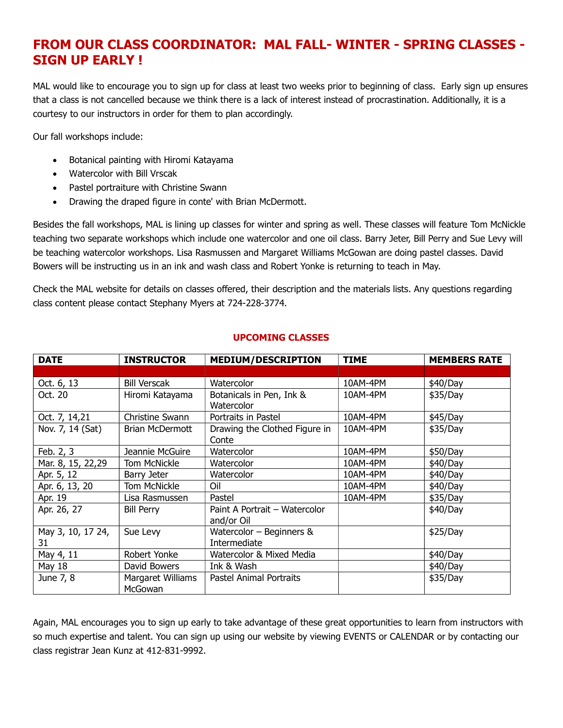## FROM OUR CLASS COORDINATOR: MAL FALL- WINTER - SPRING CLASSES - SIGN UP EARLY !

MAL would like to encourage you to sign up for class at least two weeks prior to beginning of class. Early sign up ensures that a class is not cancelled because we think there is a lack of interest instead of procrastination. Additionally, it is a courtesy to our instructors in order for them to plan accordingly.

Our fall workshops include:

- Botanical painting with Hiromi Katayama
- Watercolor with Bill Vrscak
- Pastel portraiture with Christine Swann
- Drawing the draped figure in conte' with Brian McDermott.

Besides the fall workshops, MAL is lining up classes for winter and spring as well. These classes will feature Tom McNickle teaching two separate workshops which include one watercolor and one oil class. Barry Jeter, Bill Perry and Sue Levy will be teaching watercolor workshops. Lisa Rasmussen and Margaret Williams McGowan are doing pastel classes. David Bowers will be instructing us in an ink and wash class and Robert Yonke is returning to teach in May.

Check the MAL website for details on classes offered, their description and the materials lists. Any questions regarding class content please contact Stephany Myers at 724-228-3774.

| <b>DATE</b>             | <b>INSTRUCTOR</b>            | <b>MEDIUM/DESCRIPTION</b>                   | <b>TIME</b> | <b>MEMBERS RATE</b> |
|-------------------------|------------------------------|---------------------------------------------|-------------|---------------------|
|                         |                              |                                             |             |                     |
| Oct. 6, 13              | <b>Bill Verscak</b>          | Watercolor                                  | 10AM-4PM    | \$40/Day            |
| Oct. 20                 | Hiromi Katayama              | Botanicals in Pen, Ink &<br>Watercolor      | 10AM-4PM    | \$35/Day            |
| Oct. 7, 14,21           | Christine Swann              | Portraits in Pastel                         | 10AM-4PM    | \$45/Day            |
| Nov. 7, 14 (Sat)        | <b>Brian McDermott</b>       | Drawing the Clothed Figure in<br>Conte      | 10AM-4PM    | \$35/Day            |
| Feb. 2, 3               | Jeannie McGuire              | Watercolor                                  | 10AM-4PM    | \$50/Day            |
| Mar. 8, 15, 22,29       | Tom McNickle                 | Watercolor                                  | 10AM-4PM    | \$40/Day            |
| Apr. 5, 12              | Barry Jeter                  | Watercolor                                  | 10AM-4PM    | \$40/Day            |
| Apr. 6, 13, 20          | Tom McNickle                 | Oil                                         | 10AM-4PM    | \$40/Day            |
| Apr. 19                 | Lisa Rasmussen               | Pastel                                      | 10AM-4PM    | \$35/Day            |
| Apr. 26, 27             | <b>Bill Perry</b>            | Paint A Portrait - Watercolor<br>and/or Oil |             | \$40/Day            |
| May 3, 10, 17 24,<br>31 | Sue Levy                     | Watercolor $-$ Beginners &<br>Intermediate  |             | \$25/Day            |
| May 4, 11               | Robert Yonke                 | Watercolor & Mixed Media                    |             | \$40/Day            |
| May 18                  | David Bowers                 | Ink & Wash                                  |             | \$40/Day            |
| June 7, 8               | Margaret Williams<br>McGowan | Pastel Animal Portraits                     |             | \$35/Day            |

#### UPCOMING CLASSES

Again, MAL encourages you to sign up early to take advantage of these great opportunities to learn from instructors with so much expertise and talent. You can sign up using our website by viewing EVENTS or CALENDAR or by contacting our class registrar Jean Kunz at 412-831-9992.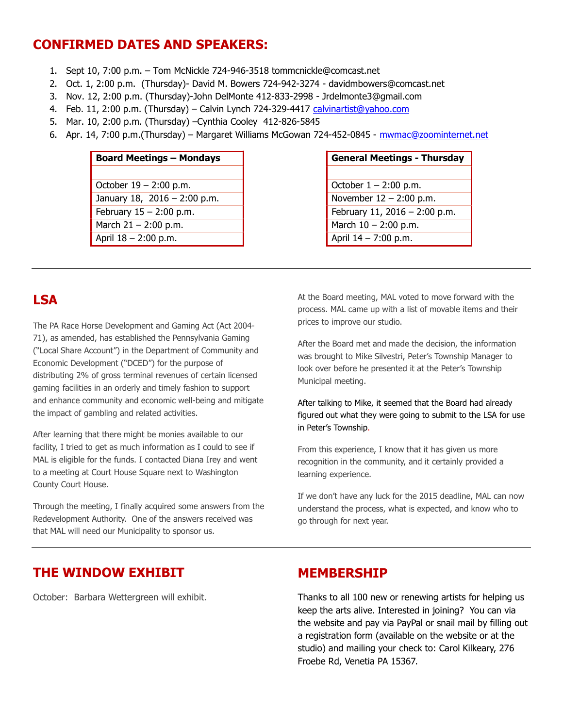## CONFIRMED DATES AND SPEAKERS:

- 1. Sept 10, 7:00 p.m. Tom McNickle 724-946-3518 tommcnickle@comcast.net
- 2. Oct. 1, 2:00 p.m. (Thursday)- David M. Bowers 724-942-3274 davidmbowers@comcast.net
- 3. Nov. 12, 2:00 p.m. (Thursday)-John DelMonte 412-833-2998 Jrdelmonte3@gmail.com
- 4. Feb. 11, 2:00 p.m. (Thursday) Calvin Lynch 724-329-4417 calvinartist@yahoo.com
- 5. Mar. 10, 2:00 p.m. (Thursday) –Cynthia Cooley 412-826-5845
- 6. Apr. 14, 7:00 p.m.(Thursday) Margaret Williams McGowan 724-452-0845 mwmac@zoominternet.net

| <b>Board Meetings - Mondays</b> |  |  |  |  |
|---------------------------------|--|--|--|--|
|                                 |  |  |  |  |
| October $19 - 2:00$ p.m.        |  |  |  |  |
| January 18, 2016 - 2:00 p.m.    |  |  |  |  |
| February $15 - 2:00$ p.m.       |  |  |  |  |
| March $21 - 2:00$ p.m.          |  |  |  |  |
| April 18 - 2:00 p.m.            |  |  |  |  |

## **General Meetings - Thursday** October  $1 - 2:00$  p.m. November  $12 - 2:00$  p.m. February 11, 2016 – 2:00 p.m. March  $10 - 2:00$  p.m. April  $14 - 7:00$  p.m.

## LSA

The PA Race Horse Development and Gaming Act (Act 2004- 71), as amended, has established the Pennsylvania Gaming ("Local Share Account") in the Department of Community and Economic Development ("DCED") for the purpose of distributing 2% of gross terminal revenues of certain licensed gaming facilities in an orderly and timely fashion to support and enhance community and economic well-being and mitigate the impact of gambling and related activities.

After learning that there might be monies available to our facility, I tried to get as much information as I could to see if MAL is eligible for the funds. I contacted Diana Irey and went to a meeting at Court House Square next to Washington County Court House.

Through the meeting, I finally acquired some answers from the Redevelopment Authority. One of the answers received was that MAL will need our Municipality to sponsor us.

At the Board meeting, MAL voted to move forward with the process. MAL came up with a list of movable items and their prices to improve our studio.

After the Board met and made the decision, the information was brought to Mike Silvestri, Peter's Township Manager to look over before he presented it at the Peter's Township Municipal meeting.

After talking to Mike, it seemed that the Board had already figured out what they were going to submit to the LSA for use in Peter's Township.

From this experience, I know that it has given us more recognition in the community, and it certainly provided a learning experience.

If we don't have any luck for the 2015 deadline, MAL can now understand the process, what is expected, and know who to go through for next year.

## THE WINDOW EXHIBIT

October: Barbara Wettergreen will exhibit.

## MEMBERSHIP

Thanks to all 100 new or renewing artists for helping us keep the arts alive. Interested in joining? You can via the website and pay via PayPal or snail mail by filling out a registration form (available on the website or at the studio) and mailing your check to: Carol Kilkeary, 276 Froebe Rd, Venetia PA 15367.